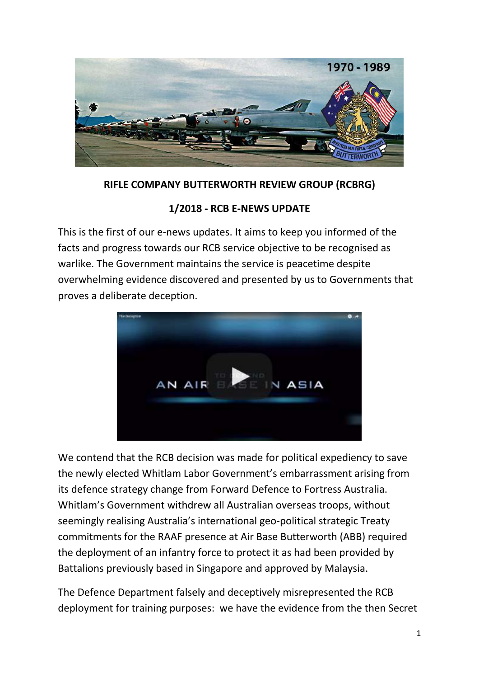

### **RIFLE COMPANY BUTTERWORTH REVIEW GROUP (RCBRG)**

### **1/2018 - RCB E-NEWS UPDATE**

This is the first of our e-news updates. It aims to keep you informed of the facts and progress towards our RCB service objective to be recognised as warlike. The Government maintains the service is peacetime despite overwhelming evidence discovered and presented by us to Governments that proves a deliberate deception.



We contend that the RCB decision was made for political expediency to save the newly elected Whitlam Labor Government's embarrassment arising from its defence strategy change from Forward Defence to Fortress Australia. Whitlam's Government withdrew all Australian overseas troops, without seemingly realising Australia's international geo-political strategic Treaty commitments for the RAAF presence at Air Base Butterworth (ABB) required the deployment of an infantry force to protect it as had been provided by Battalions previously based in Singapore and approved by Malaysia.

The Defence Department falsely and deceptively misrepresented the RCB deployment for training purposes: we have the evidence from the then Secret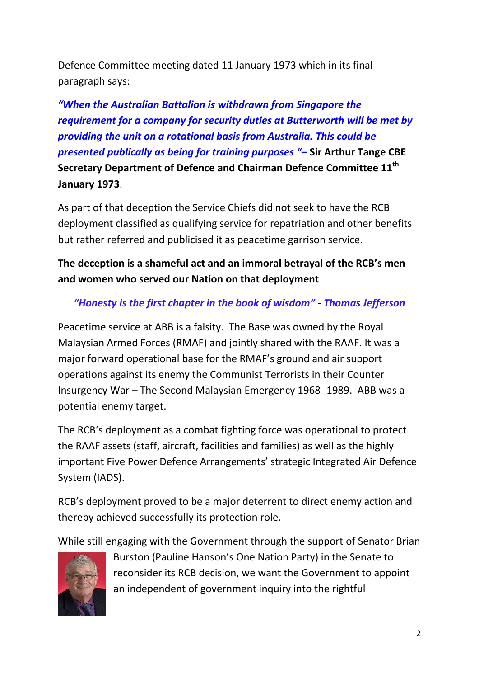Defence Committee meeting dated 11 January 1973 which in its final paragraph says:

*"When the Australian Battalion is withdrawn from Singapore the requirement for a company for security duties at Butterworth will be met by providing the unit on a rotational basis from Australia. This could be presented publically as being for training purposes "–* **Sir Arthur Tange CBE Secretary Department of Defence and Chairman Defence Committee 11th January 1973**.

As part of that deception the Service Chiefs did not seek to have the RCB deployment classified as qualifying service for repatriation and other benefits but rather referred and publicised it as peacetime garrison service.

# **The deception is a shameful act and an immoral betrayal of the RCB's men and women who served our Nation on that deployment**

## *"Honesty is the first chapter in the book of wisdom"* - *Thomas Jefferson*

Peacetime service at ABB is a falsity. The Base was owned by the Royal Malaysian Armed Forces (RMAF) and jointly shared with the RAAF. It was a major forward operational base for the RMAF's ground and air support operations against its enemy the Communist Terrorists in their Counter Insurgency War – The Second Malaysian Emergency 1968 -1989. ABB was a potential enemy target.

The RCB's deployment as a combat fighting force was operational to protect the RAAF assets (staff, aircraft, facilities and families) as well as the highly important Five Power Defence Arrangements' strategic Integrated Air Defence System (IADS).

RCB's deployment proved to be a major deterrent to direct enemy action and thereby achieved successfully its protection role.

While still engaging with the Government through the support of Senator Brian



Burston (Pauline Hanson's One Nation Party) in the Senate to reconsider its RCB decision, we want the Government to appoint an independent of government inquiry into the rightful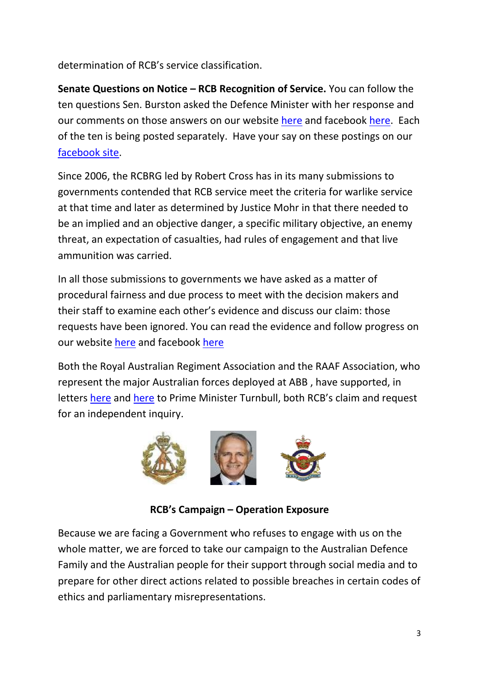determination of RCB's service classification.

**Senate Questions on Notice – RCB Recognition of Service.** You can follow the ten questions Sen. Burston asked the Defence Minister with her response and our comments on those answers on our website [here](https://recognitionofrcbservice.com/) and facebook [here.](https://www.facebook.com/recognitionofrcbservice) Each of the ten is being posted separately. Have your say on these postings on our [facebook](https://www.facebook.com/recognitionofrcbservice) site.

Since 2006, the RCBRG led by Robert Cross has in its many submissions to governments contended that RCB service meet the criteria for warlike service at that time and later as determined by Justice Mohr in that there needed to be an implied and an objective danger, a specific military objective, an enemy threat, an expectation of casualties, had rules of engagement and that live ammunition was carried.

In all those submissions to governments we have asked as a matter of procedural fairness and due process to meet with the decision makers and their staff to examine each other's evidence and discuss our claim: those requests have been ignored. You can read the evidence and follow progress on our website [here](https://recognitionofrcbservice.com/references/) and facebook [here](https://www.facebook.com/recognitionofrcbservice)

Both the Royal Australian Regiment Association and the RAAF Association, who represent the major Australian forces deployed at ABB , have supported, in letters [here](https://recognitionofrcbservice.com/references/) and [here](https://recognitionofrcbservice.com/references/) to Prime Minister Turnbull, both RCB's claim and request for an independent inquiry.



**RCB's Campaign – Operation Exposure**

Because we are facing a Government who refuses to engage with us on the whole matter, we are forced to take our campaign to the Australian Defence Family and the Australian people for their support through social media and to prepare for other direct actions related to possible breaches in certain codes of ethics and parliamentary misrepresentations.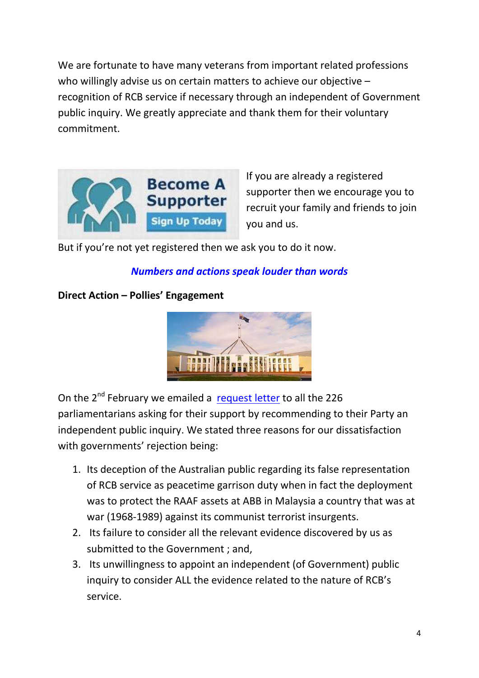We are fortunate to have many veterans from important related professions who willingly advise us on certain matters to achieve our objective recognition of RCB service if necessary through an independent of Government public inquiry. We greatly appreciate and thank them for their voluntary commitment.



If you are already a registered supporter then we encourage you to recruit your family and friends to join you and us.

But if you're not yet registered then we ask you to do it now.

## *Numbers and actions speak louder than words*

### **Direct Action – Pollies' Engagement**



On the 2<sup>nd</sup> February we emailed a [request letter](https://recognitionofrcbservice.com/references/) to all the 226 parliamentarians asking for their support by recommending to their Party an independent public inquiry. We stated three reasons for our dissatisfaction with governments' rejection being:

- 1. Its deception of the Australian public regarding its false representation of RCB service as peacetime garrison duty when in fact the deployment was to protect the RAAF assets at ABB in Malaysia a country that was at war (1968-1989) against its communist terrorist insurgents.
- 2. Its failure to consider all the relevant evidence discovered by us as submitted to the Government ; and,
- 3. Its unwillingness to appoint an independent (of Government) public inquiry to consider ALL the evidence related to the nature of RCB's service.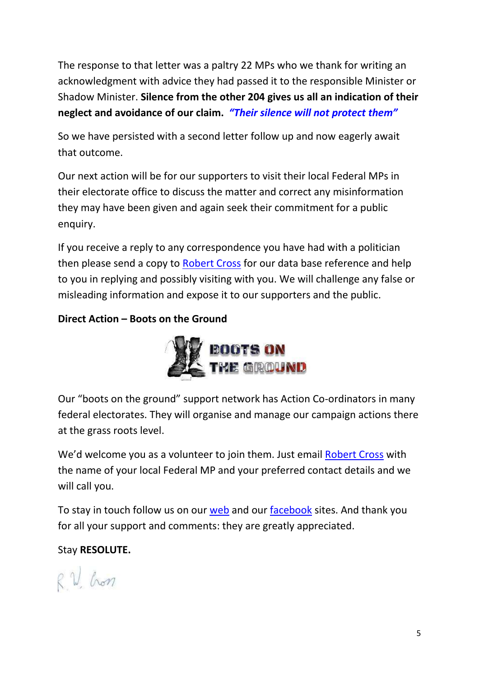The response to that letter was a paltry 22 MPs who we thank for writing an acknowledgment with advice they had passed it to the responsible Minister or Shadow Minister. **Silence from the other 204 gives us all an indication of their neglect and avoidance of our claim.** *"Their silence will not protect them"*

So we have persisted with a second letter follow up and now eagerly await that outcome.

Our next action will be for our supporters to visit their local Federal MPs in their electorate office to discuss the matter and correct any misinformation they may have been given and again seek their commitment for a public enquiry.

If you receive a reply to any correspondence you have had with a politician then please send a copy to [Robert Cross](mailto:squirrel84@bigpond.com) for our data base reference and help to you in replying and possibly visiting with you. We will challenge any false or misleading information and expose it to our supporters and the public.

### **Direct Action – Boots on the Ground**



Our "boots on the ground" support network has Action Co-ordinators in many federal electorates. They will organise and manage our campaign actions there at the grass roots level.

We'd welcome you as a volunteer to join them. Just email [Robert Cross](mailto:squirrel84@bigpond.com) with the name of your local Federal MP and your preferred contact details and we will call you.

To stay in touch follow us on our [web](https://recognitionofrcbservice.com/) and our [facebook](https://www.facebook.com/pg/recognitionofrcbservice/posts/) sites. And thank you for all your support and comments: they are greatly appreciated.

## Stay **RESOLUTE.**

RV hon